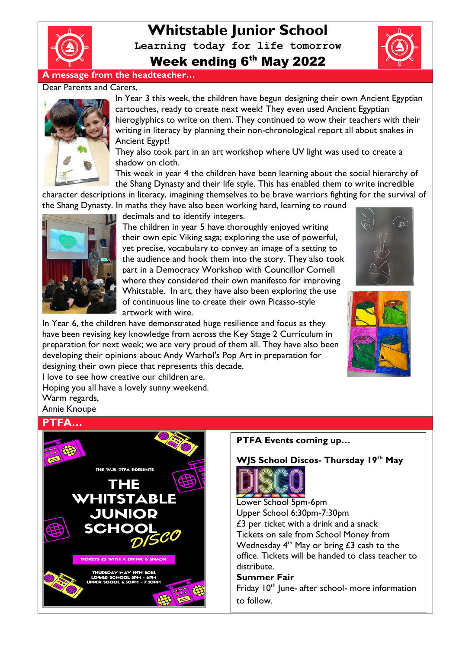

# **Whitstable Junior School**

**Learning today for life tomorrow**

Week ending 6<sup>th</sup> May 2022

# **A message from the headteacher…**

#### Dear Parents and Carers,



In Year 3 this week, the children have begun designing their own Ancient Egyptian cartouches, ready to create next week! They even used Ancient Egyptian hieroglyphics to write on them. They continued to wow their teachers with their writing in literacy by planning their non-chronological report all about snakes in Ancient Egypt!

They also took part in an art workshop where UV light was used to create a shadow on cloth.

This week in year 4 the children have been learning about the social hierarchy of the Shang Dynasty and their life style. This has enabled them to write incredible

character descriptions in literacy, imagining themselves to be brave warriors fighting for the survival of the Shang Dynasty. In maths they have also been working hard, learning to round



decimals and to identify integers.

The children in year 5 have thoroughly enjoyed writing their own epic Viking saga; exploring the use of powerful, yet precise, vocabulary to convey an image of a setting to the audience and hook them into the story. They also took part in a Democracy Workshop with Councillor Cornell where they considered their own manifesto for improving Whitstable. In art, they have also been exploring the use of continuous line to create their own Picasso-style artwork with wire.

In Year 6, the children have demonstrated huge resilience and focus as they have been revising key knowledge from across the Key Stage 2 Curriculum in preparation for next week; we are very proud of them all. They have also been developing their opinions about Andy Warhol's Pop Art in preparation for designing their own piece that represents this decade.



I love to see how creative our children are. Hoping you all have a lovely sunny weekend.

Warm regards,

Annie Knoupe

# **PTFA…**



#### **PTFA Events coming up…**

#### **WJS School Discos- Thursday 19th May**



Lower School 5pm-6pm Upper School 6:30pm-7:30pm £3 per ticket with a drink and a snack Tickets on sale from School Money from Wednesday  $4<sup>th</sup>$  May or bring £3 cash to the office. Tickets will be handed to class teacher to distribute.

## **Summer Fair**

Friday  $10<sup>th</sup>$  June- after school- more information to follow.

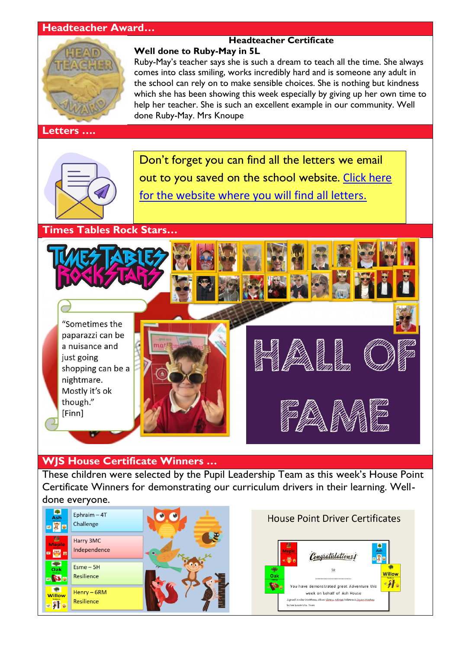#### **Headteacher Award…**



#### **Letters ….**

#### **Headteacher Certificate Well done to Ruby-May in 5L**

Ruby-May's teacher says she is such a dream to teach all the time. She always comes into class smiling, works incredibly hard and is someone any adult in the school can rely on to make sensible choices. She is nothing but kindness which she has been showing this week especially by giving up her own time to help her teacher. She is such an excellent example in our community. Well done Ruby-May. Mrs Knoupe



Don't forget you can find all the letters we email out to you saved on the school website. [Click here](http://www.whitstable-junior.kent.sch.uk/)  [for the website where you will find all letters.](http://www.whitstable-junior.kent.sch.uk/)

**Times Tables Rock Stars…**





# **WJS House Certificate Winners …**

These children were selected by the Pupil Leadership Team as this week's House Point Certificate Winners for demonstrating our curriculum drivers in their learning. Welldone everyone.